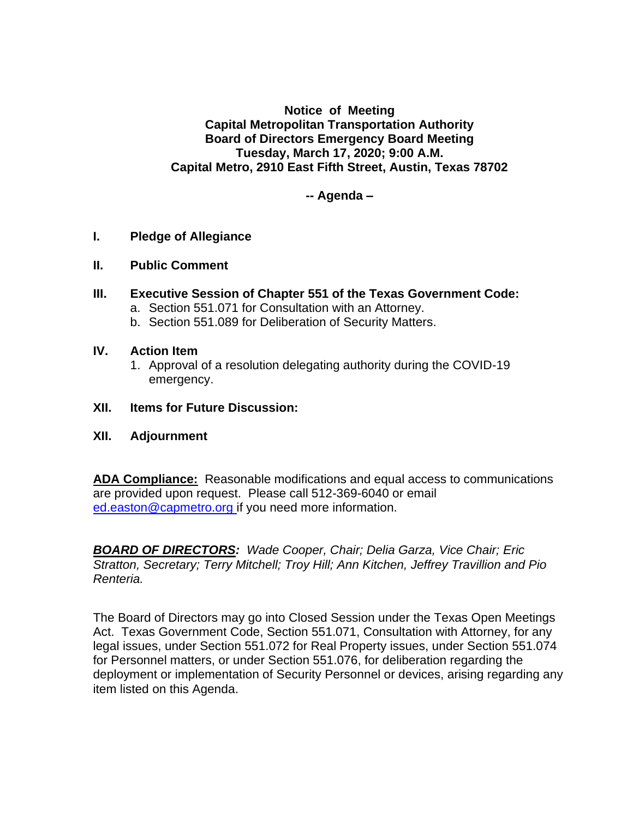**Notice of Meeting Capital Metropolitan Transportation Authority Board of Directors Emergency Board Meeting Tuesday, March 17, 2020; 9:00 A.M. Capital Metro, 2910 East Fifth Street, Austin, Texas 78702**

**-- Agenda –**

# **I. Pledge of Allegiance**

- **II. Public Comment**
- **III. Executive Session of Chapter 551 of the Texas Government Code:**
	- a. Section 551.071 for Consultation with an Attorney.
	- b. Section 551.089 for Deliberation of Security Matters.

# **IV. Action Item**

1. Approval of a resolution delegating authority during the COVID-19 emergency.

### **XII. Items for Future Discussion:**

# **XII. Adjournment**

**ADA Compliance:** Reasonable modifications and equal access to communications are provided upon request. Please call 512-369-6040 or email ed.easton@capmetro.org if you need more information.

*BOARD OF DIRECTORS: Wade Cooper, Chair; Delia Garza, Vice Chair; Eric Stratton, Secretary; Terry Mitchell; Troy Hill; Ann Kitchen, Jeffrey Travillion and Pio Renteria.* 

The Board of Directors may go into Closed Session under the Texas Open Meetings Act. Texas Government Code, Section 551.071, Consultation with Attorney, for any legal issues, under Section 551.072 for Real Property issues, under Section 551.074 for Personnel matters, or under Section 551.076, for deliberation regarding the deployment or implementation of Security Personnel or devices, arising regarding any item listed on this Agenda.